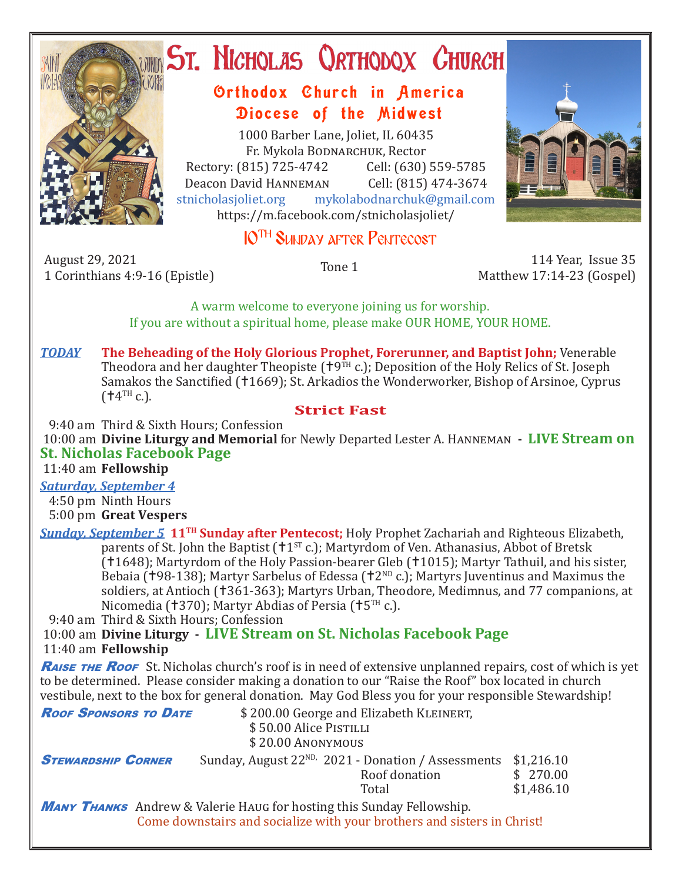

# **ST. NICHOLAS QRTHODOX CHURCH**

## Orthodox Church in America Diocese of the Midwest

1000 Barber Lane, Joliet, IL 60435 Fr. Mykola Bodnarchuk, Rector Rectory: (815) 725-4742 Cell: (630) 559-5785<br>Deacon David HANNEMAN Cell: (815) 474-3674 Deacon David Hanneman<br>stnicholasioliet.org mvk mykolabodnarchuk@gmail.com https://m.facebook.com/stnicholasjoliet/

# **10TH SUNDAY AFTER PENTECOST**

August 29, 2021<br>1 Corinthians 4:9-16 (Epistle) 1 Corinthians 4:9-16 (Epistle) Tone 1 114 Year, Issue 35 Matthew 17:14-23 (Gospel)

A warm welcome to everyone joining us for worship. If you are without a spiritual home, please make OUR HOME, YOUR HOME.

*TODAY* **The Beheading of the Holy Glorious Prophet, Forerunner, and Baptist John;** Venerable Theodora and her daughter Theopiste ( $\uparrow$ 9TH c.); Deposition of the Holy Relics of St. Joseph Samakos the Sanctified (†1669); St. Arkadios the Wonderworker, Bishop of Arsinoe, Cyprus  $(†4^{\text{TH}} c.).$ 

#### **Strict Fast**

9:40 am Third & Sixth Hours; Confession

 10:00 am **Divine Liturgy and Memorial** for Newly Departed Lester A. Hanneman **- LIVE Stream on St. Nicholas Facebook Page**

11:40 am **Fellowship**

#### *Saturday, September 4*

 4:50 pm Ninth Hours 5:00 pm **Great Vespers**

*Sunday, September 5* **11<sup>TH</sup> Sunday after Pentecost;** Holy Prophet Zachariah and Righteous Elizabeth, parents of St. John the Baptist  $(\dagger 1^{ST} c.)$ ; Martyrdom of Ven. Athanasius, Abbot of Bretsk (†1648); Martyrdom of the Holy Passion-bearer Gleb (†1015); Martyr Tathuil, and his sister, Bebaia ( $\uparrow$ 98-138); Martyr Sarbelus of Edessa ( $\uparrow$ 2<sup>ND</sup> c.); Martyrs Juventinus and Maximus the soldiers, at Antioch († 361-363); Martyrs Urban, Theodore, Medimnus, and 77 companions, at Nicomedia (†370); Martyr Abdias of Persia († $5<sup>TH</sup>$  c.).

9:40 am Third & Sixth Hours; Confession

 10:00 am **Divine Liturgy - LIVE Stream on St. Nicholas Facebook Page** 11:40 am **Fellowship**

**RAISE THE ROOF** St. Nicholas church's roof is in need of extensive unplanned repairs, cost of which is yet to be determined. Please consider making a donation to our "Raise the Roof" box located in church vestibule, next to the box for general donation. May God Bless you for your responsible Stewardship!

| <b>ROOF SPONSORS TO DATE</b>                                                                                                                            | \$200.00 George and Elizabeth KLEINERT,                        |            |  |  |  |  |
|---------------------------------------------------------------------------------------------------------------------------------------------------------|----------------------------------------------------------------|------------|--|--|--|--|
|                                                                                                                                                         | \$50.00 Alice PISTILLI                                         |            |  |  |  |  |
|                                                                                                                                                         | \$20.00 ANONYMOUS                                              |            |  |  |  |  |
| <b>STEWARDSHIP CORNER</b>                                                                                                                               | Sunday, August 22 <sup>ND,</sup> 2021 - Donation / Assessments | \$1,216.10 |  |  |  |  |
|                                                                                                                                                         | Roof donation                                                  | \$270.00   |  |  |  |  |
|                                                                                                                                                         | Total                                                          | \$1,486.10 |  |  |  |  |
| <b>MANY THANKS</b> Andrew & Valerie HAUG for hosting this Sunday Fellowship.<br>Come downstairs and socialize with your brothers and sisters in Christ! |                                                                |            |  |  |  |  |